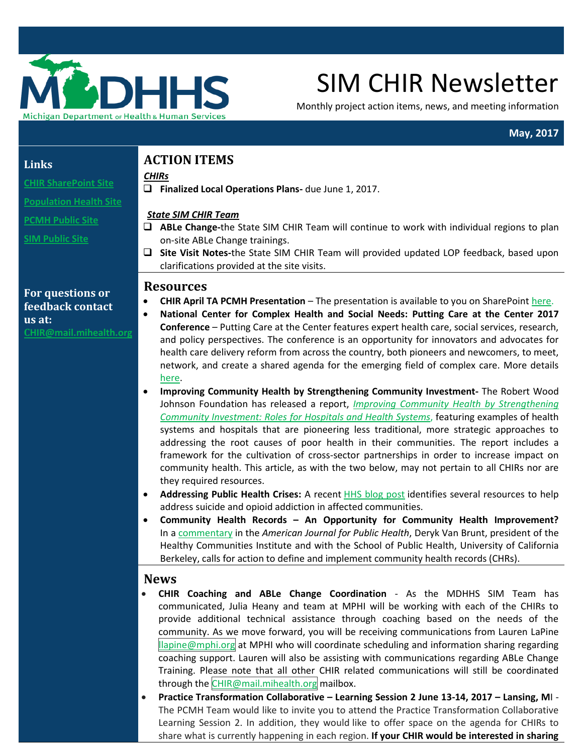

# SIM CHIR Newsletter

Monthly project action items, news, and meeting information

## **May, 2017**

### **Links**

## **ACTION ITEMS**

**[CHIR SharePoint Site](https://stateofmichigan.sharepoint.com/teams/dhhs/bic/msacss/SIM/SitePages/CHIR.aspx)** 

**[Population Health Site](http://www.michigan.gov/mdhhs/0,5885,7-339-71551_2945_64491_76092_77453---,00.html)**

**[PCMH Public Site](http://www.michigan.gov/mdhhs/0,5885,7-339-71551_2945_64491_76092_77452---,00.html)** 

**[SIM Public Site](http://www.michigan.gov/mdhhs/0,5885,7-339-71551_2945_64491_76092---,00.html)**

# *CHIRs*

**Finalized Local Operations Plans-** due June 1, 2017.

## *State SIM CHIR Team*

- **ABLe Change-**the State SIM CHIR Team will continue to work with individual regions to plan on-site ABLe Change trainings.
- **Site Visit Notes-**the State SIM CHIR Team will provided updated LOP feedback, based upon clarifications provided at the site visits.

## **Resources**

- **CHIR April TA PCMH Presentation**  The presentation is available to you on SharePoint [here.](https://stateofmichigan.sharepoint.com/teams/dhhs/bic/msacss/SIM/All%20CHIRs/Resources/Presentations/2017/2017.04.25%20CHIR%20TA%20Presentation_PCMH%20Collaborative%20Overview.pdf)
- **National Center for Complex Health and Social Needs: Putting Care at the Center 2017 Conference** – Putting Care at the Center features expert health care, social services, research, and policy perspectives. The conference is an opportunity for innovators and advocates for health care delivery reform from across the country, both pioneers and newcomers, to meet, network, and create a shared agenda for the emerging field of complex care. More details [here.](https://www.centering.care/home?utm_source=National+Center&utm_campaign=7d53b74bb4-EMAIL_CAMPAIGN_2017_04_20&utm_medium=email&utm_term=0_004d141c94-7d53b74bb4-415058085)
- **Improving Community Health by Strengthening Community Investment-** The Robert Wood Johnson Foundation has released a report, *[Improving Community Health by Strengthening](http://send.chausa.org/link.cfm?r=eR0gHqzfCwslOh7wtyOEtA~~&pe=swwsoNEVtk4Nn22FtsLHX0a1x5EDncsXf0xjV3jOVx9_KbKQecbfGx0etRTFBGfb4bUnZy-BMY3kHpij4aNBpQ~~) [Community Investment: Roles for Hospitals and Health Systems](http://send.chausa.org/link.cfm?r=eR0gHqzfCwslOh7wtyOEtA~~&pe=swwsoNEVtk4Nn22FtsLHX0a1x5EDncsXf0xjV3jOVx9_KbKQecbfGx0etRTFBGfb4bUnZy-BMY3kHpij4aNBpQ~~)*, featuring examples of health systems and hospitals that are pioneering less traditional, more strategic approaches to addressing the root causes of poor health in their communities. The report includes a framework for the cultivation of cross-sector partnerships in order to increase impact on community health. This article, as with the two below, may not pertain to all CHIRs nor are they required resources.
- **Addressing Public Health Crises:** A recent [HHS blog post](http://send.chausa.org/link.cfm?r=eR0gHqzfCwslOh7wtyOEtA~~&pe=a2SfRwfMcca9wOEttE7q5KLFsZ-tpKfGAM7gqxVRTvWIhwUUtMNova7ch3ESmkm5e5BGa5tp8sjLxXv20u9s3g~~) identifies several resources to help address suicide and opioid addiction in affected communities.
- **Community Health Records – An Opportunity for Community Health Improvement?** In a [commentary](http://send.chausa.org/link.cfm?r=eR0gHqzfCwslOh7wtyOEtA~~&pe=Bz7q4jpwDpN9RKLTkyGbLnVE9_2504mKphNhcAOT4_WMcYmWbaoW_0e0eCfgvY-3GQsOtldpi-9VMOLxZUBIgw~~) in the *American Journal for Public Health*, Deryk Van Brunt, president of the Healthy Communities Institute and with the School of Public Health, University of California Berkeley, calls for action to define and implement community health records (CHRs).

## **News**

- **CHIR Coaching and ABLe Change Coordination** As the MDHHS SIM Team has communicated, Julia Heany and team at MPHI will be working with each of the CHIRs to provide additional technical assistance through coaching based on the needs of the community. As we move forward, you will be receiving communications from Lauren LaPine [llapine@mphi.org](mailto:llapine@mphi.org) at MPHI who will coordinate scheduling and information sharing regarding coaching support. Lauren will also be assisting with communications regarding ABLe Change Training. Please note that all other CHIR related communications will still be coordinated through the [CHIR@mail.mihealth.org](mailto:CHIR@mail.mihealth.org) mailbox.
- **Practice Transformation Collaborative – Learning Session 2 June 13-14, 2017 – Lansing, M**I The PCMH Team would like to invite you to attend the Practice Transformation Collaborative Learning Session 2. In addition, they would like to offer space on the agenda for CHIRs to share what is currently happening in each region. **If your CHIR would be interested in sharing**

## **For questions or feedback contact us at: C[HIR@mail.mihealth.org](mailto:CHIR@mail.mihealth.org)**